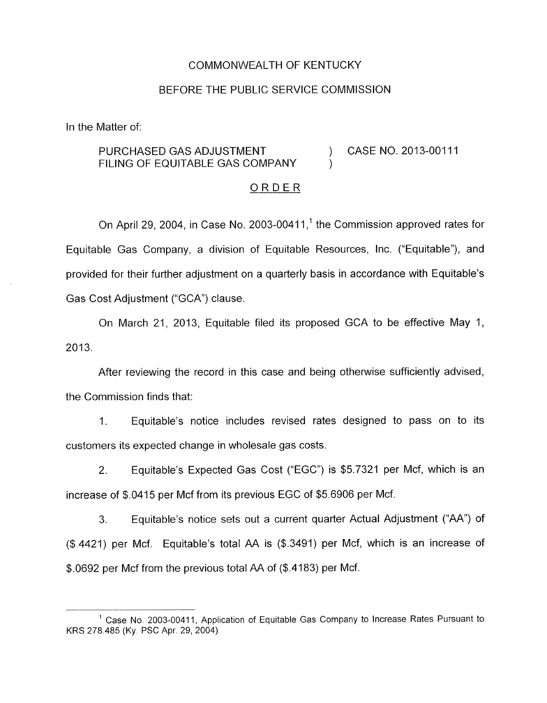#### COMMONWEALTH OF KENTUCKY

#### BEFORE THE PUBLIC SERVICE COMMISSION

In the Matter of:

## PURCHASED GAS ADJUSTMENT (2013-00111 FILING OF EQUITABLE GAS COMPANY  $\qquad \qquad$ )

#### ORDER

On April 29, 2004, in Case No. 2003-00411,<sup>1</sup> the Commission approved rates for Equitable Gas Company, a division of Equitable Resources, Inc. ("Equitable"), and provided for their further adjustment on a quarterly basis in accordance with Equitable's Gas Cost Adjustment ("GCA") clause.

On March 21, 2013, Equitable filed its proposed GCA to be effective May 1, 2013.

After reviewing the record in this case and being otherwise sufficiently advised, the Commission finds that:

1. Equitable's notice includes revised rates designed to pass on to its customers its expected change in wholesale gas costs.

2. Equitable's Expected Gas Cost ("EGC") is \$5.7321 per Mcf, which is an increase of \$.0415 per Mcf from its previous EGC of \$5.6906 per Mcf.

3. Equitable's notice sets out a current quarter Actual Adjustment ("AA") of (\$.4421) per Mcf. Equitable's total AA is (\$.3491) per Mcf, which is an increase of \$.0692 per Mcf from the previous total AA of (\$.4183) per Mcf.

<sup>&</sup>lt;sup>1</sup> Case No. 2003-00411, Application of Equitable Gas Company to Increase Rates Pursuant to KRS 278.485 (Ky. PSC Apr. 29,2004)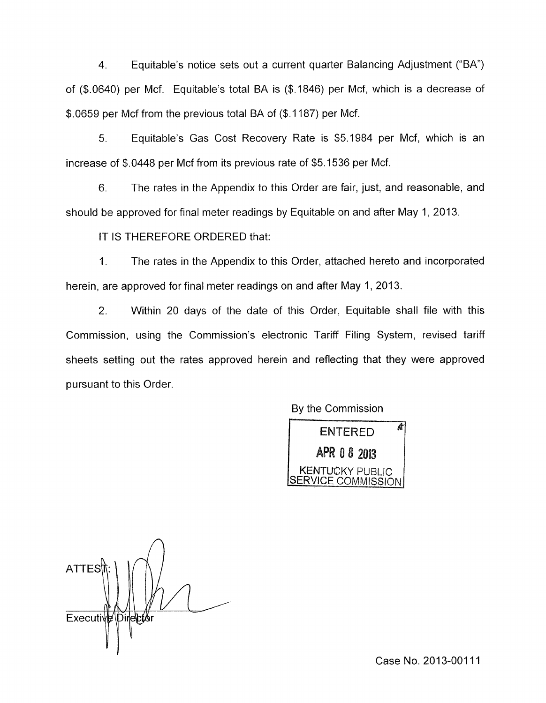4. Equitable's notice sets out a current quarter Balancing Adjustment ("BA") of (\$0640) per Mcf. Equitable's total BA is (\$1846) per Mcf, which is a decrease of \$.0659 per Mcf from the previous total BA of (\$.I 187) per Mcf.

*5.* Equitable's Gas Cost Recovery Rate is \$5.1984 per Mcf, which is an increase of \$.0448 per Mcf from its previous rate of \$5.1536 per Mcf.

6. The rates in the Appendix to this Order are fair, just, and reasonable, and should be approved for final meter readings by Equitable on and after May 1, 2013.

IT IS THEREFORE ORDERED that:

1. The rates in the Appendix to this Order, attached hereto and incorporated herein, are approved for final meter readings on and after May 1, 2013.

2. Within 20 days of the date of this Order, Equitable shall file with this Commission, using the Commission's electronic Tariff Filing System, revised tariff sheets setting out the rates approved herein and reflecting that they were approved pursuant to this Order.

By the Commission

ENTERED 4<br>APR 0 8 2013<br>KENTUCKY PUBLIC /ICE COMMISSION

**ATTES** Executive Director

Case No. 2013-00111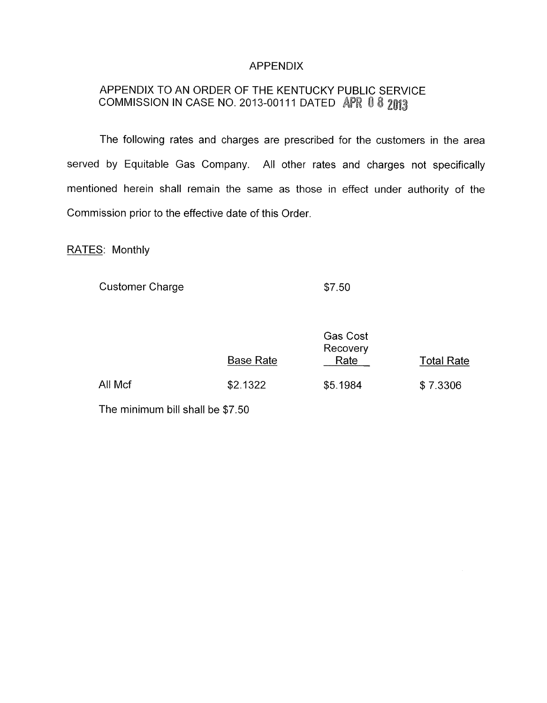### APPENDIX

# APPENDIX TO AN ORDER OF THE KENTUCKY PUBLIC SERVICE COMMISSION IN CASE NO. 2013-00111 DATED APR 0 8 2013

The following rates and charges are prescribed for the customers in the area served by Equitable Gas Company. All other rates and charges not specifically mentioned herein shall remain the same as those in effect under authority of the Commission prior to the effective date of this Order.

RATES: Monthly

Customer Charge

\$7.50

|         | <b>Base Rate</b> | <b>Gas Cost</b><br>Recovery<br>Rate | <b>Total Rate</b> |
|---------|------------------|-------------------------------------|-------------------|
| All Mcf | \$2.1322         | \$5.1984                            | \$7.3306          |

The minimum bill shall be \$7.50